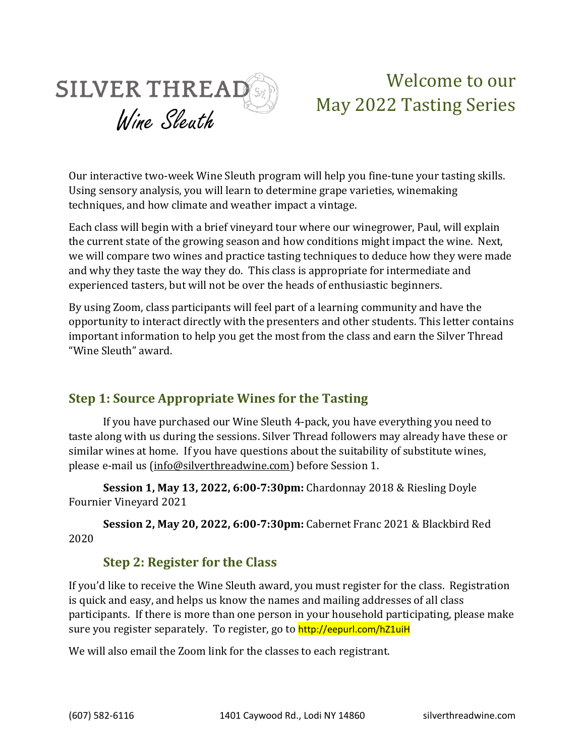

# Welcome to our May 2022 Tasting Series

Our interactive two-week Wine Sleuth program will help you fine-tune your tasting skills. Using sensory analysis, you will learn to determine grape varieties, winemaking techniques, and how climate and weather impact a vintage.

Each class will begin with a brief vineyard tour where our winegrower, Paul, will explain the current state of the growing season and how conditions might impact the wine. Next, we will compare two wines and practice tasting techniques to deduce how they were made and why they taste the way they do. This class is appropriate for intermediate and experienced tasters, but will not be over the heads of enthusiastic beginners.

By using Zoom, class participants will feel part of a learning community and have the opportunity to interact directly with the presenters and other students. This letter contains important information to help you get the most from the class and earn the Silver Thread "Wine Sleuth" award.

# **Step 1: Source Appropriate Wines for the Tasting**

If you have purchased our Wine Sleuth 4-pack, you have everything you need to taste along with us during the sessions. Silver Thread followers may already have these or similar wines at home. If you have questions about the suitability of substitute wines, please e-mail us [\(info@silverthreadwine.com\)](mailto:info@silverthreadwine.com) before Session 1.

**Session 1, May 13, 2022, 6:00-7:30pm:** Chardonnay 2018 & Riesling Doyle Fournier Vineyard 2021

**Session 2, May 20, 2022, 6:00-7:30pm:** Cabernet Franc 2021 & Blackbird Red 2020

# **Step 2: Register for the Class**

If you'd like to receive the Wine Sleuth award, you must register for the class. Registration is quick and easy, and helps us know the names and mailing addresses of all class participants. If there is more than one person in your household participating, please make sure you register separately. To register, go to http://eepurl.com/hZ1uiH

We will also email the Zoom link for the classes to each registrant.